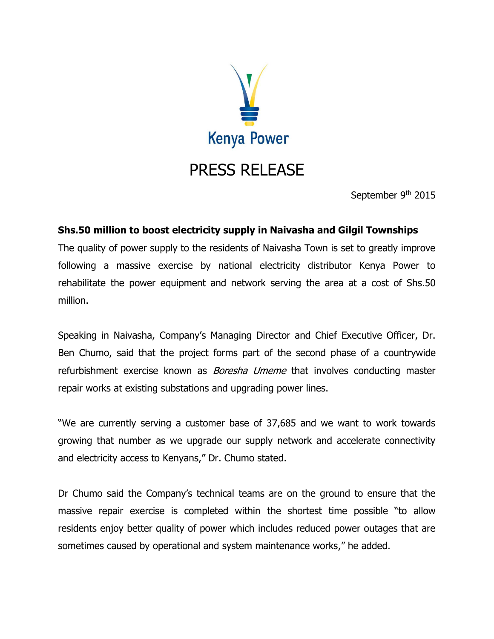

September 9<sup>th</sup> 2015

## **Shs.50 million to boost electricity supply in Naivasha and Gilgil Townships**

The quality of power supply to the residents of Naivasha Town is set to greatly improve following a massive exercise by national electricity distributor Kenya Power to rehabilitate the power equipment and network serving the area at a cost of Shs.50 million.

Speaking in Naivasha, Company's Managing Director and Chief Executive Officer, Dr. Ben Chumo, said that the project forms part of the second phase of a countrywide refurbishment exercise known as *Boresha Umeme* that involves conducting master repair works at existing substations and upgrading power lines.

"We are currently serving a customer base of 37,685 and we want to work towards growing that number as we upgrade our supply network and accelerate connectivity and electricity access to Kenyans," Dr. Chumo stated.

Dr Chumo said the Company's technical teams are on the ground to ensure that the massive repair exercise is completed within the shortest time possible "to allow residents enjoy better quality of power which includes reduced power outages that are sometimes caused by operational and system maintenance works," he added.